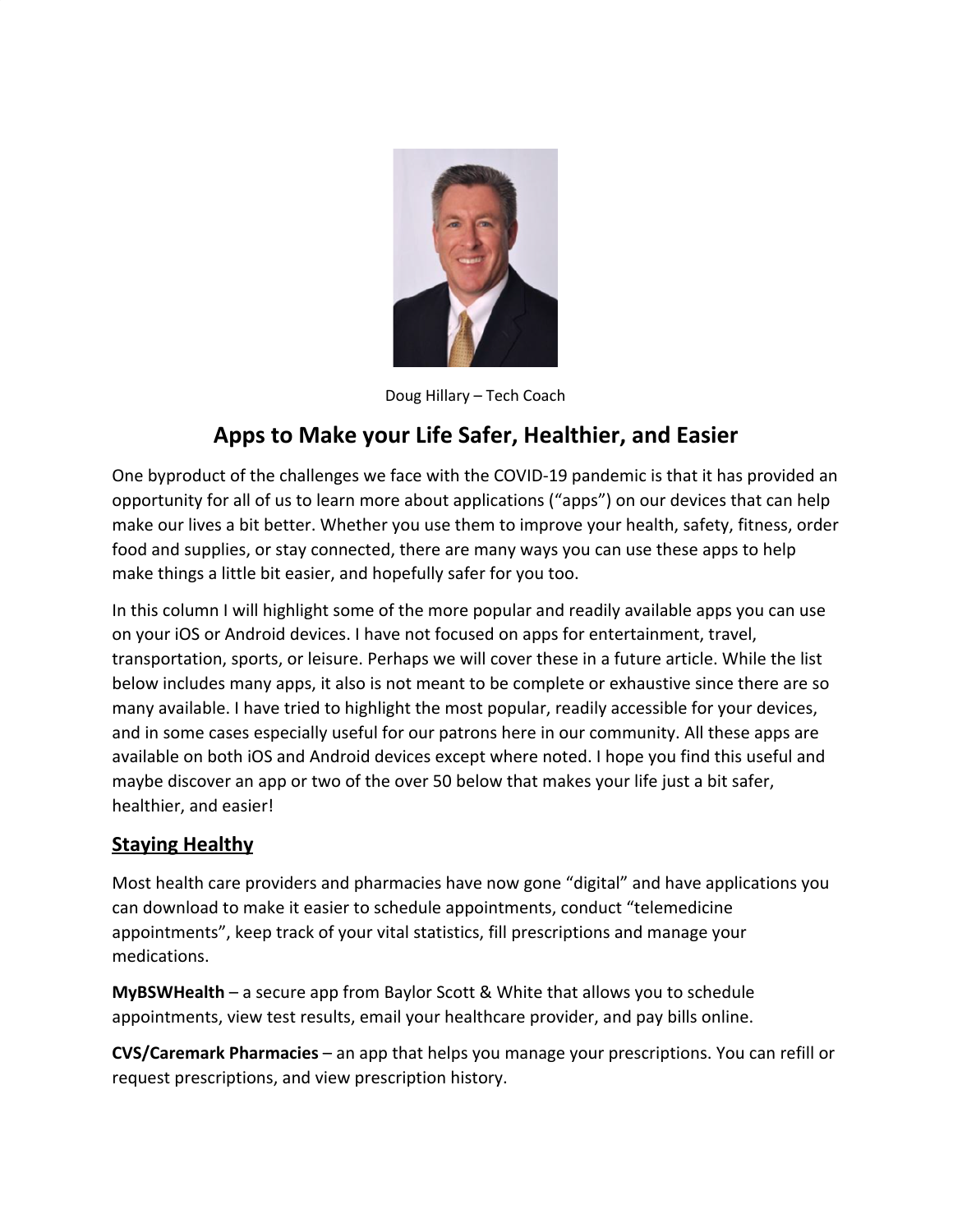

Doug Hillary – Tech Coach

# **Apps to Make your Life Safer, Healthier, and Easier**

One byproduct of the challenges we face with the COVID-19 pandemic is that it has provided an opportunity for all of us to learn more about applications ("apps") on our devices that can help make our lives a bit better. Whether you use them to improve your health, safety, fitness, order food and supplies, or stay connected, there are many ways you can use these apps to help make things a little bit easier, and hopefully safer for you too.

In this column I will highlight some of the more popular and readily available apps you can use on your iOS or Android devices. I have not focused on apps for entertainment, travel, transportation, sports, or leisure. Perhaps we will cover these in a future article. While the list below includes many apps, it also is not meant to be complete or exhaustive since there are so many available. I have tried to highlight the most popular, readily accessible for your devices, and in some cases especially useful for our patrons here in our community. All these apps are available on both iOS and Android devices except where noted. I hope you find this useful and maybe discover an app or two of the over 50 below that makes your life just a bit safer, healthier, and easier!

## **Staying Healthy**

Most health care providers and pharmacies have now gone "digital" and have applications you can download to make it easier to schedule appointments, conduct "telemedicine appointments", keep track of your vital statistics, fill prescriptions and manage your medications.

**MyBSWHealth** – a secure app from Baylor Scott & White that allows you to schedule appointments, view test results, email your healthcare provider, and pay bills online.

**CVS/Caremark Pharmacies** – an app that helps you manage your prescriptions. You can refill or request prescriptions, and view prescription history.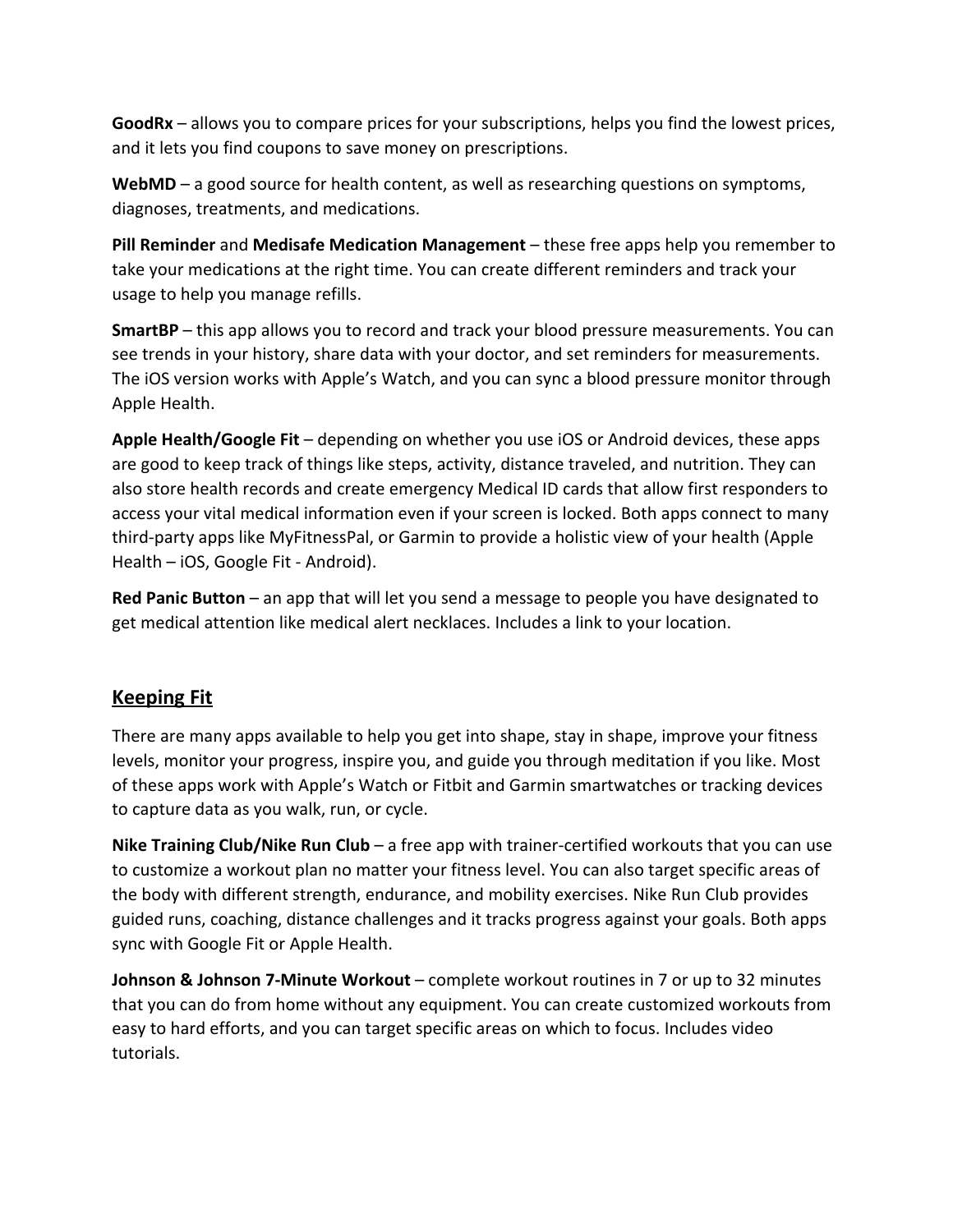**GoodRx** – allows you to compare prices for your subscriptions, helps you find the lowest prices, and it lets you find coupons to save money on prescriptions.

**WebMD** – a good source for health content, as well as researching questions on symptoms, diagnoses, treatments, and medications.

**Pill Reminder** and **Medisafe Medication Management** – these free apps help you remember to take your medications at the right time. You can create different reminders and track your usage to help you manage refills.

**SmartBP** – this app allows you to record and track your blood pressure measurements. You can see trends in your history, share data with your doctor, and set reminders for measurements. The iOS version works with Apple's Watch, and you can sync a blood pressure monitor through Apple Health.

**Apple Health/Google Fit** – depending on whether you use iOS or Android devices, these apps are good to keep track of things like steps, activity, distance traveled, and nutrition. They can also store health records and create emergency Medical ID cards that allow first responders to access your vital medical information even if your screen is locked. Both apps connect to many third-party apps like MyFitnessPal, or Garmin to provide a holistic view of your health (Apple Health – iOS, Google Fit - Android).

**Red Panic Button** – an app that will let you send a message to people you have designated to get medical attention like medical alert necklaces. Includes a link to your location.

## **Keeping Fit**

There are many apps available to help you get into shape, stay in shape, improve your fitness levels, monitor your progress, inspire you, and guide you through meditation if you like. Most of these apps work with Apple's Watch or Fitbit and Garmin smartwatches or tracking devices to capture data as you walk, run, or cycle.

**Nike Training Club/Nike Run Club** – a free app with trainer-certified workouts that you can use to customize a workout plan no matter your fitness level. You can also target specific areas of the body with different strength, endurance, and mobility exercises. Nike Run Club provides guided runs, coaching, distance challenges and it tracks progress against your goals. Both apps sync with Google Fit or Apple Health.

**Johnson & Johnson 7-Minute Workout** – complete workout routines in 7 or up to 32 minutes that you can do from home without any equipment. You can create customized workouts from easy to hard efforts, and you can target specific areas on which to focus. Includes video tutorials.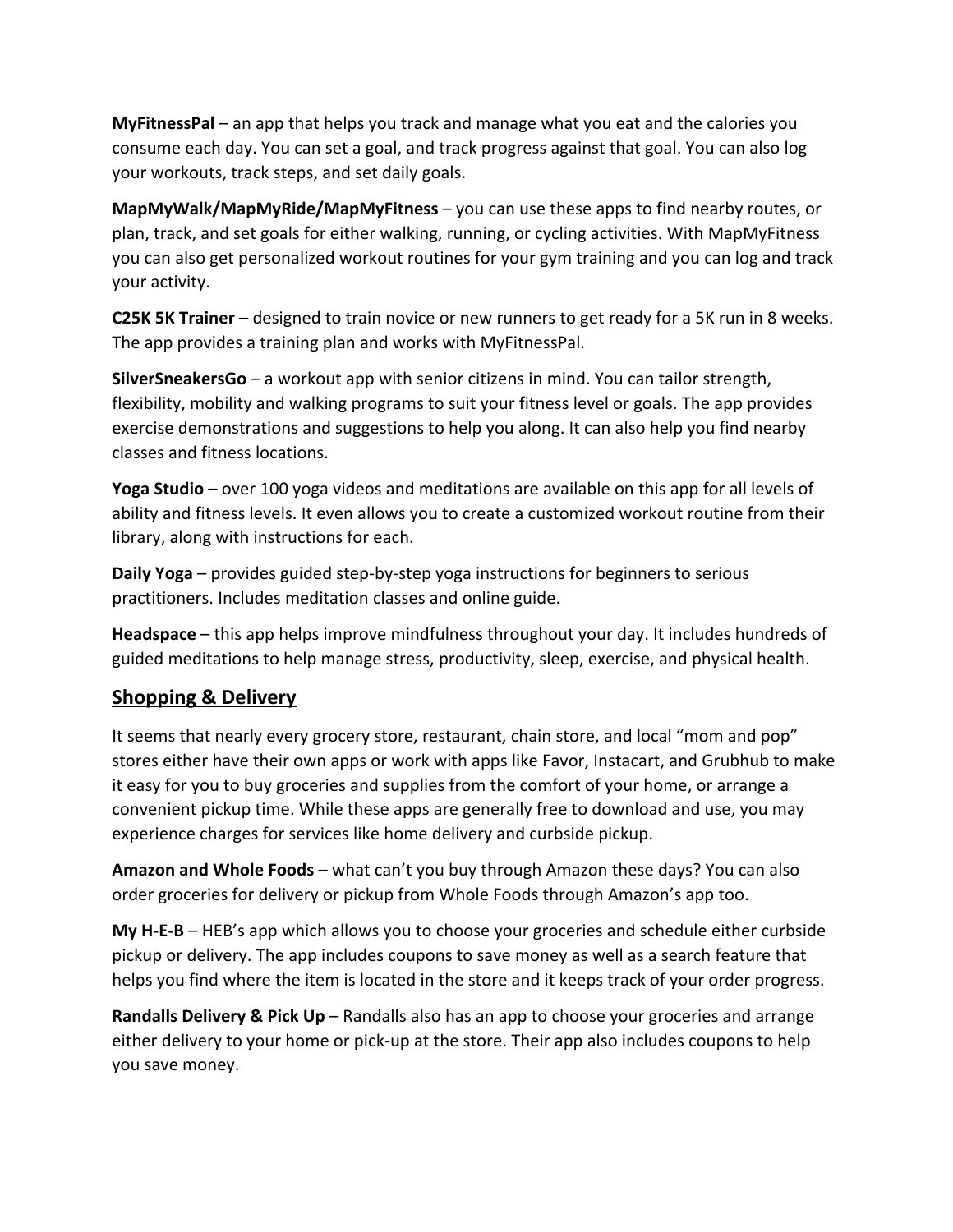**MyFitnessPal** – an app that helps you track and manage what you eat and the calories you consume each day. You can set a goal, and track progress against that goal. You can also log your workouts, track steps, and set daily goals.

**MapMyWalk/MapMyRide/MapMyFitness** – you can use these apps to find nearby routes, or plan, track, and set goals for either walking, running, or cycling activities. With MapMyFitness you can also get personalized workout routines for your gym training and you can log and track your activity.

**C25K 5K Trainer** – designed to train novice or new runners to get ready for a 5K run in 8 weeks. The app provides a training plan and works with MyFitnessPal.

**SilverSneakersGo** – a workout app with senior citizens in mind. You can tailor strength, flexibility, mobility and walking programs to suit your fitness level or goals. The app provides exercise demonstrations and suggestions to help you along. It can also help you find nearby classes and fitness locations.

**Yoga Studio** – over 100 yoga videos and meditations are available on this app for all levels of ability and fitness levels. It even allows you to create a customized workout routine from their library, along with instructions for each.

**Daily Yoga** – provides guided step-by-step yoga instructions for beginners to serious practitioners. Includes meditation classes and online guide.

**Headspace** – this app helps improve mindfulness throughout your day. It includes hundreds of guided meditations to help manage stress, productivity, sleep, exercise, and physical health.

## **Shopping & Delivery**

It seems that nearly every grocery store, restaurant, chain store, and local "mom and pop" stores either have their own apps or work with apps like Favor, Instacart, and Grubhub to make it easy for you to buy groceries and supplies from the comfort of your home, or arrange a convenient pickup time. While these apps are generally free to download and use, you may experience charges for services like home delivery and curbside pickup.

**Amazon and Whole Foods** – what can't you buy through Amazon these days? You can also order groceries for delivery or pickup from Whole Foods through Amazon's app too.

**My H-E-B** – HEB's app which allows you to choose your groceries and schedule either curbside pickup or delivery. The app includes coupons to save money as well as a search feature that helps you find where the item is located in the store and it keeps track of your order progress.

**Randalls Delivery & Pick Up** – Randalls also has an app to choose your groceries and arrange either delivery to your home or pick-up at the store. Their app also includes coupons to help you save money.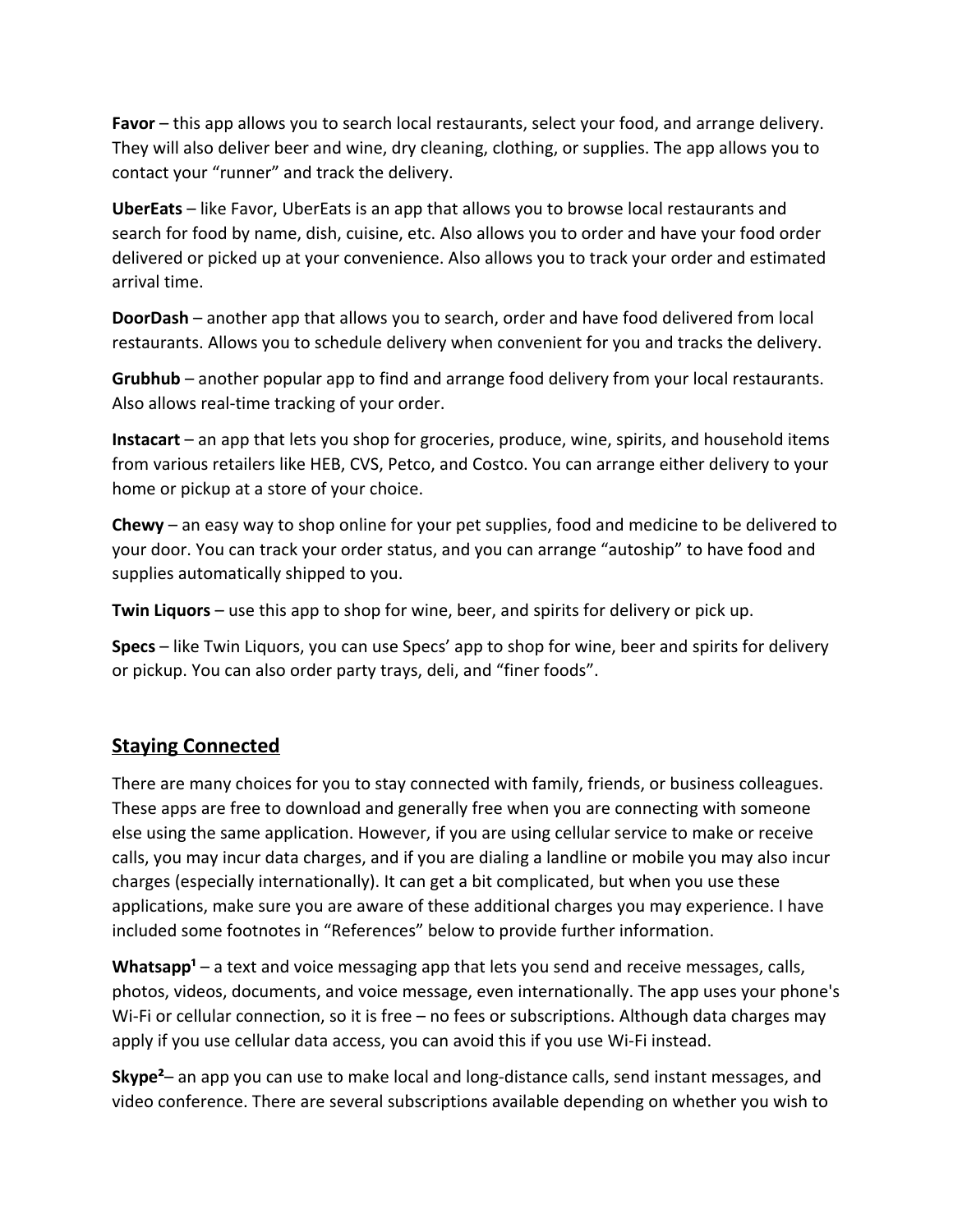**Favor** – this app allows you to search local restaurants, select your food, and arrange delivery. They will also deliver beer and wine, dry cleaning, clothing, or supplies. The app allows you to contact your "runner" and track the delivery.

**UberEats** – like Favor, UberEats is an app that allows you to browse local restaurants and search for food by name, dish, cuisine, etc. Also allows you to order and have your food order delivered or picked up at your convenience. Also allows you to track your order and estimated arrival time.

**DoorDash** – another app that allows you to search, order and have food delivered from local restaurants. Allows you to schedule delivery when convenient for you and tracks the delivery.

**Grubhub** – another popular app to find and arrange food delivery from your local restaurants. Also allows real-time tracking of your order.

**Instacart** – an app that lets you shop for groceries, produce, wine, spirits, and household items from various retailers like HEB, CVS, Petco, and Costco. You can arrange either delivery to your home or pickup at a store of your choice.

**Chewy** – an easy way to shop online for your pet supplies, food and medicine to be delivered to your door. You can track your order status, and you can arrange "autoship" to have food and supplies automatically shipped to you.

**Twin Liquors** – use this app to shop for wine, beer, and spirits for delivery or pick up.

**Specs** – like Twin Liquors, you can use Specs' app to shop for wine, beer and spirits for delivery or pickup. You can also order party trays, deli, and "finer foods".

## **Staying Connected**

There are many choices for you to stay connected with family, friends, or business colleagues. These apps are free to download and generally free when you are connecting with someone else using the same application. However, if you are using cellular service to make or receive calls, you may incur data charges, and if you are dialing a landline or mobile you may also incur charges (especially internationally). It can get a bit complicated, but when you use these applications, make sure you are aware of these additional charges you may experience. I have included some footnotes in "References" below to provide further information.

Whatsapp<sup>1</sup> – a text and voice messaging app that lets you send and receive messages, calls, photos, videos, documents, and voice message, even internationally. The app uses your phone's Wi-Fi or cellular connection, so it is free – no fees or subscriptions. Although data charges may apply if you use cellular data access, you can avoid this if you use Wi-Fi instead.

**Skype²**– an app you can use to make local and long-distance calls, send instant messages, and video conference. There are several subscriptions available depending on whether you wish to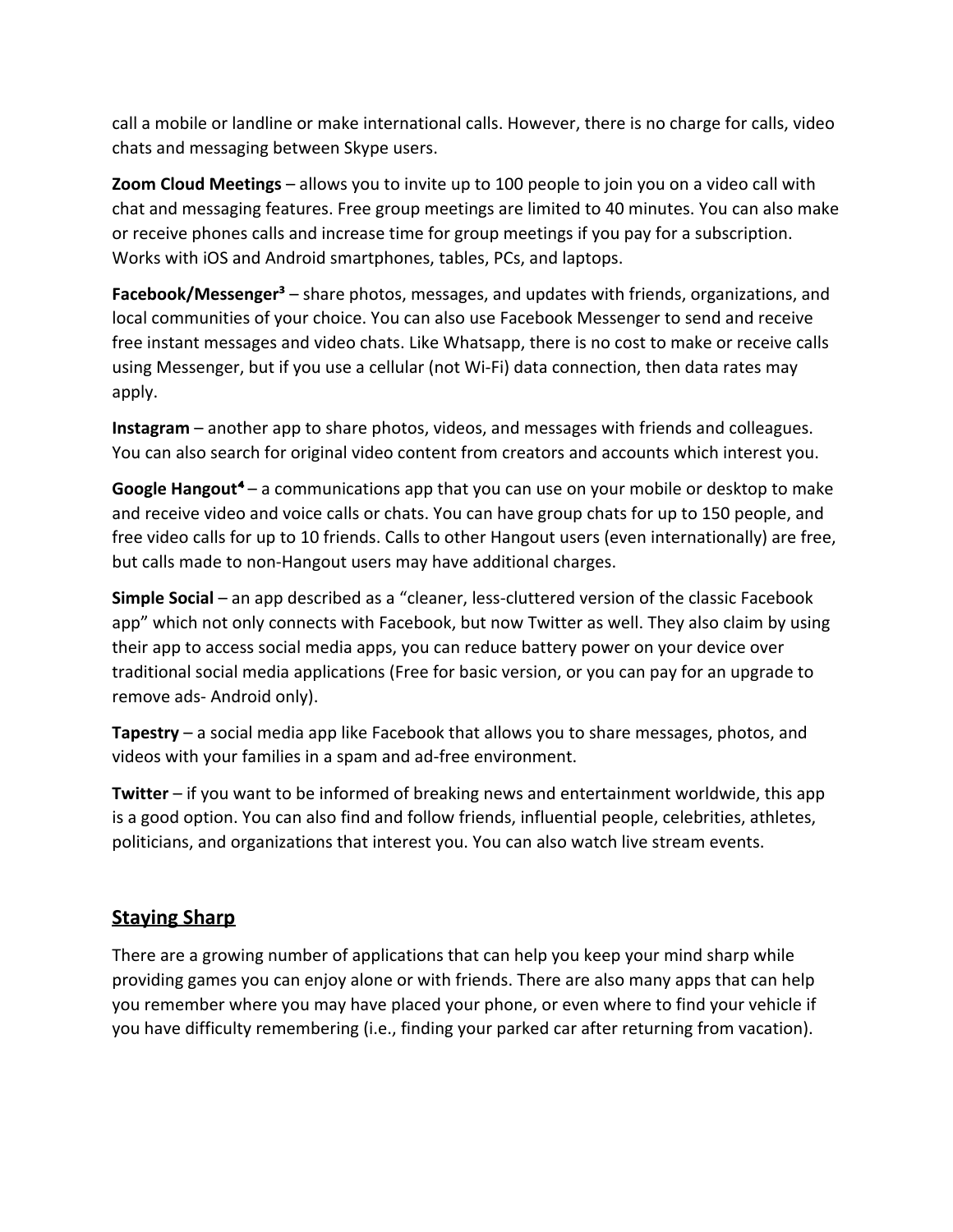call a mobile or landline or make international calls. However, there is no charge for calls, video chats and messaging between Skype users.

**Zoom Cloud Meetings** – allows you to invite up to 100 people to join you on a video call with chat and messaging features. Free group meetings are limited to 40 minutes. You can also make or receive phones calls and increase time for group meetings if you pay for a subscription. Works with iOS and Android smartphones, tables, PCs, and laptops.

**Facebook/Messenger<sup>3</sup>** – share photos, messages, and updates with friends, organizations, and local communities of your choice. You can also use Facebook Messenger to send and receive free instant messages and video chats. Like Whatsapp, there is no cost to make or receive calls using Messenger, but if you use a cellular (not Wi-Fi) data connection, then data rates may apply.

**Instagram** – another app to share photos, videos, and messages with friends and colleagues. You can also search for original video content from creators and accounts which interest you.

**Google Hangout<sup>4</sup>** – a communications app that you can use on your mobile or desktop to make and receive video and voice calls or chats. You can have group chats for up to 150 people, and free video calls for up to 10 friends. Calls to other Hangout users (even internationally) are free, but calls made to non-Hangout users may have additional charges.

**Simple Social** – an app described as a "cleaner, less-cluttered version of the classic Facebook app" which not only connects with Facebook, but now Twitter as well. They also claim by using their app to access social media apps, you can reduce battery power on your device over traditional social media applications (Free for basic version, or you can pay for an upgrade to remove ads- Android only).

**Tapestry** – a social media app like Facebook that allows you to share messages, photos, and videos with your families in a spam and ad-free environment.

**Twitter** – if you want to be informed of breaking news and entertainment worldwide, this app is a good option. You can also find and follow friends, influential people, celebrities, athletes, politicians, and organizations that interest you. You can also watch live stream events.

## **Staying Sharp**

There are a growing number of applications that can help you keep your mind sharp while providing games you can enjoy alone or with friends. There are also many apps that can help you remember where you may have placed your phone, or even where to find your vehicle if you have difficulty remembering (i.e., finding your parked car after returning from vacation).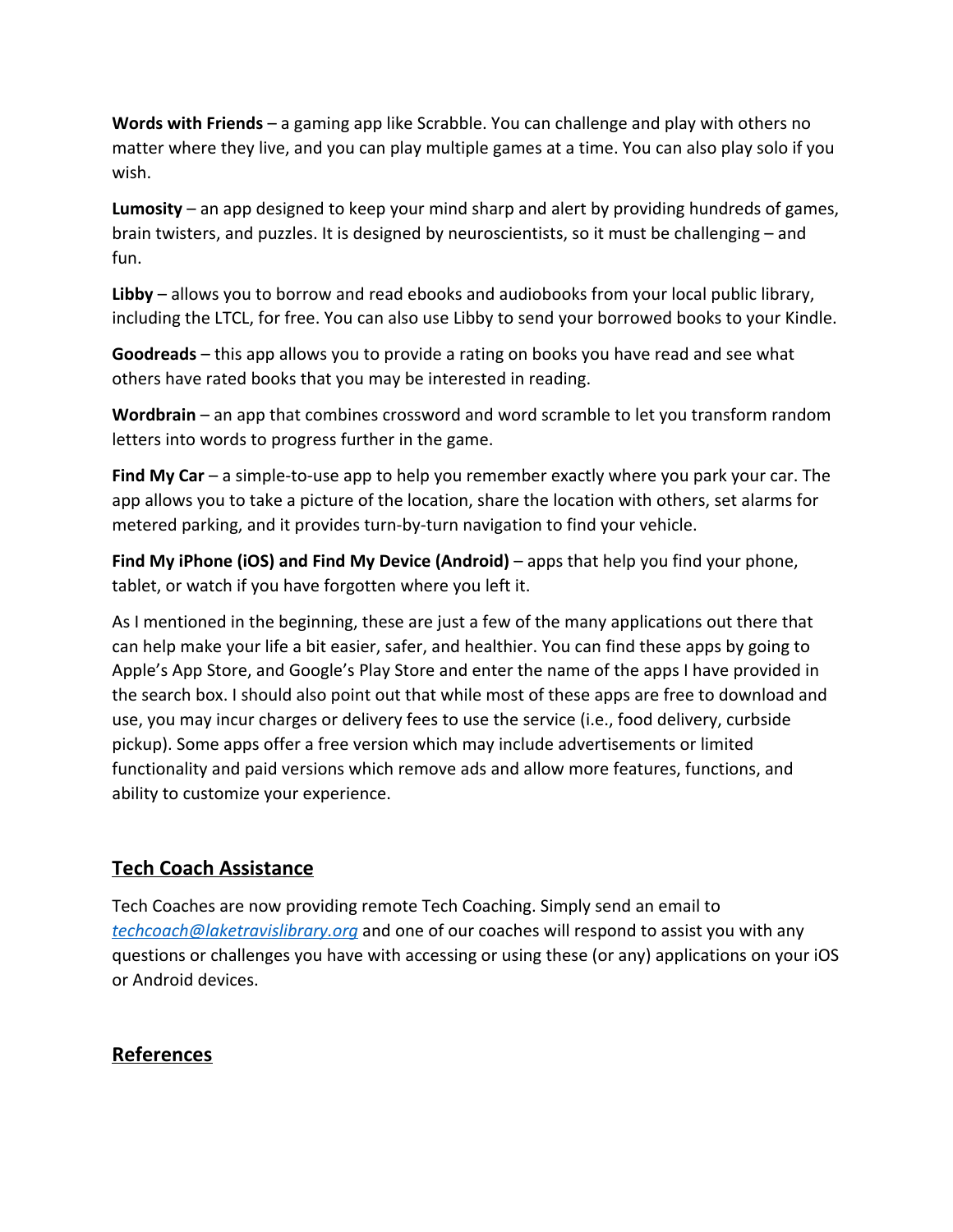**Words with Friends** – a gaming app like Scrabble. You can challenge and play with others no matter where they live, and you can play multiple games at a time. You can also play solo if you wish.

**Lumosity** – an app designed to keep your mind sharp and alert by providing hundreds of games, brain twisters, and puzzles. It is designed by neuroscientists, so it must be challenging – and fun.

**Libby** – allows you to borrow and read ebooks and audiobooks from your local public library, including the LTCL, for free. You can also use Libby to send your borrowed books to your Kindle.

**Goodreads** – this app allows you to provide a rating on books you have read and see what others have rated books that you may be interested in reading.

**Wordbrain** – an app that combines crossword and word scramble to let you transform random letters into words to progress further in the game.

**Find My Car** – a simple-to-use app to help you remember exactly where you park your car. The app allows you to take a picture of the location, share the location with others, set alarms for metered parking, and it provides turn-by-turn navigation to find your vehicle.

**Find My iPhone (iOS) and Find My Device (Android)** – apps that help you find your phone, tablet, or watch if you have forgotten where you left it.

As I mentioned in the beginning, these are just a few of the many applications out there that can help make your life a bit easier, safer, and healthier. You can find these apps by going to Apple's App Store, and Google's Play Store and enter the name of the apps I have provided in the search box. I should also point out that while most of these apps are free to download and use, you may incur charges or delivery fees to use the service (i.e., food delivery, curbside pickup). Some apps offer a free version which may include advertisements or limited functionality and paid versions which remove ads and allow more features, functions, and ability to customize your experience.

## **Tech Coach Assistance**

Tech Coaches are now providing remote Tech Coaching. Simply send an email to *[techcoach@laketravislibrary.org](mailto:techcoach@laketravislibrary.org)* and one of our coaches will respond to assist you with any questions or challenges you have with accessing or using these (or any) applications on your iOS or Android devices.

## **References**